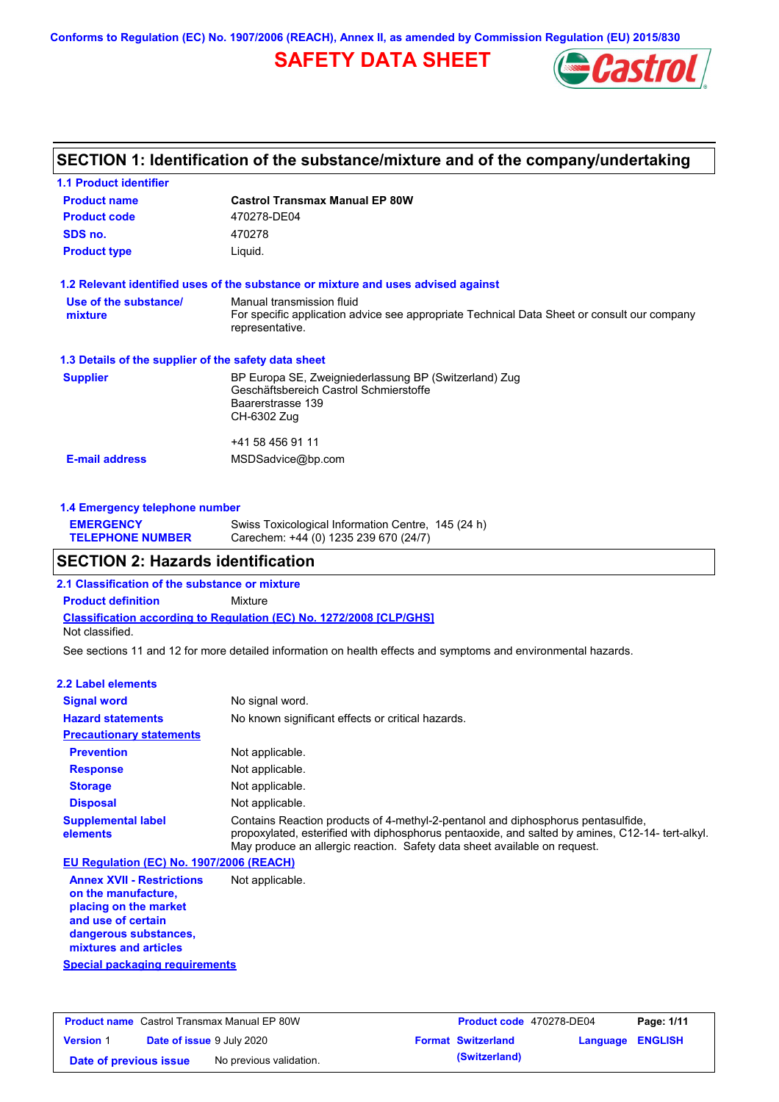**Conforms to Regulation (EC) No. 1907/2006 (REACH), Annex II, as amended by Commission Regulation (EU) 2015/830**

# **SAFETY DATA SHEET**



## **SECTION 1: Identification of the substance/mixture and of the company/undertaking**

| <b>1.1 Product identifier</b>                        |                                                                                                                                             |
|------------------------------------------------------|---------------------------------------------------------------------------------------------------------------------------------------------|
| <b>Product name</b>                                  | <b>Castrol Transmax Manual EP 80W</b>                                                                                                       |
| <b>Product code</b>                                  | 470278-DE04                                                                                                                                 |
| SDS no.                                              | 470278                                                                                                                                      |
| <b>Product type</b>                                  | Liquid.                                                                                                                                     |
|                                                      | 1.2 Relevant identified uses of the substance or mixture and uses advised against                                                           |
| Use of the substance/<br>mixture                     | Manual transmission fluid<br>For specific application advice see appropriate Technical Data Sheet or consult our company<br>representative. |
| 1.3 Details of the supplier of the safety data sheet |                                                                                                                                             |
| <b>Supplier</b>                                      | BP Europa SE, Zweigniederlassung BP (Switzerland) Zug<br>Geschäftsbereich Castrol Schmierstoffe<br>Baarerstrasse 139<br>CH-6302 Zug         |
| <b>E-mail address</b>                                | +41 58 456 91 11<br>MSDSadvice@bp.com                                                                                                       |
|                                                      |                                                                                                                                             |

| 1.4 Emergency telephone number              |                                                                                             |  |
|---------------------------------------------|---------------------------------------------------------------------------------------------|--|
| <b>EMERGENCY</b><br><b>TELEPHONE NUMBER</b> | Swiss Toxicological Information Centre, 145 (24 h)<br>Carechem: +44 (0) 1235 239 670 (24/7) |  |

## **SECTION 2: Hazards identification**

**2.1 Classification of the substance or mixture**

**Classification according to Regulation (EC) No. 1272/2008 [CLP/GHS] Product definition** Mixture Not classified.

See sections 11 and 12 for more detailed information on health effects and symptoms and environmental hazards.

#### **2.2 Label elements**

| <b>Signal word</b>                       | No signal word.                                                                                                                                                                                                                                                  |
|------------------------------------------|------------------------------------------------------------------------------------------------------------------------------------------------------------------------------------------------------------------------------------------------------------------|
| <b>Hazard statements</b>                 | No known significant effects or critical hazards.                                                                                                                                                                                                                |
| <b>Precautionary statements</b>          |                                                                                                                                                                                                                                                                  |
| <b>Prevention</b>                        | Not applicable.                                                                                                                                                                                                                                                  |
| <b>Response</b>                          | Not applicable.                                                                                                                                                                                                                                                  |
| <b>Storage</b>                           | Not applicable.                                                                                                                                                                                                                                                  |
| <b>Disposal</b>                          | Not applicable.                                                                                                                                                                                                                                                  |
| <b>Supplemental label</b><br>elements    | Contains Reaction products of 4-methyl-2-pentanol and diphosphorus pentasulfide,<br>propoxylated, esterified with diphosphorus pentaoxide, and salted by amines, C12-14-tert-alkyl.<br>May produce an allergic reaction. Safety data sheet available on request. |
| EU Regulation (EC) No. 1907/2006 (REACH) |                                                                                                                                                                                                                                                                  |

**Annex XVII - Restrictions on the manufacture, placing on the market and use of certain dangerous substances, mixtures and articles** Not applicable.

**Special packaging requirements**

|                        |                                  | <b>Product name</b> Castrol Transmax Manual EP 80W | <b>Product code</b> 470278-DE04 |                         | Page: 1/11 |
|------------------------|----------------------------------|----------------------------------------------------|---------------------------------|-------------------------|------------|
| <b>Version 1</b>       | <b>Date of issue 9 July 2020</b> |                                                    | <b>Format Switzerland</b>       | <b>Language ENGLISH</b> |            |
| Date of previous issue |                                  | No previous validation.                            | (Switzerland)                   |                         |            |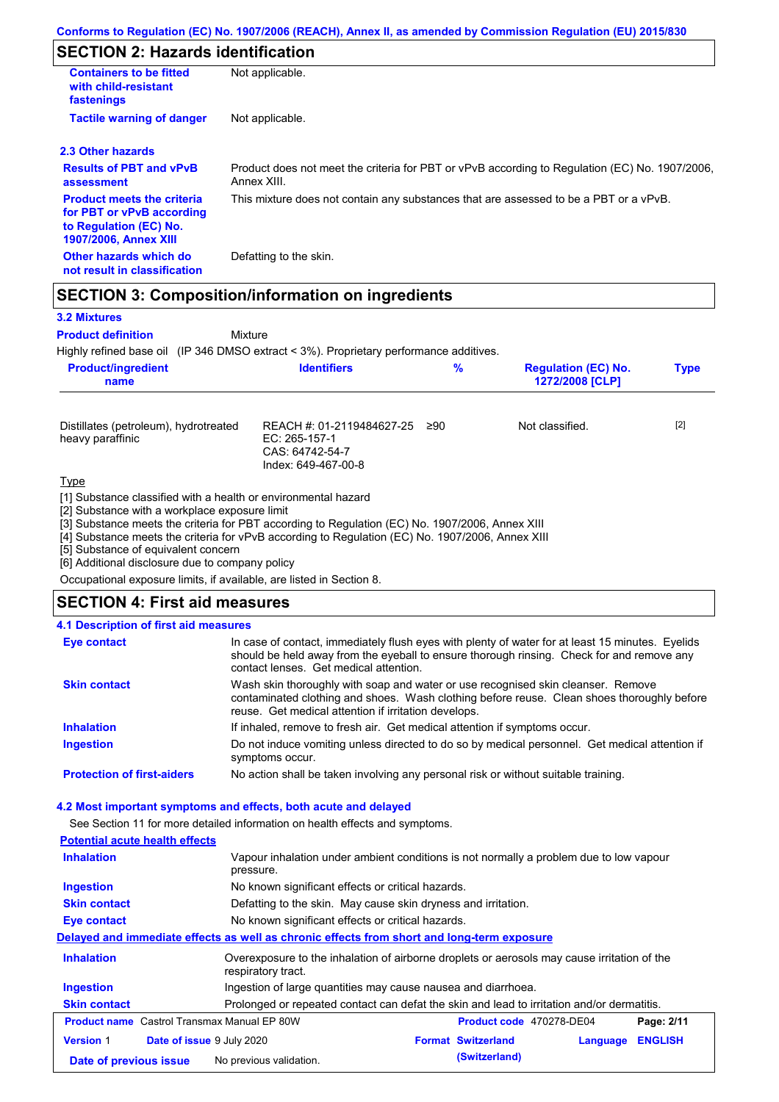# **SECTION 2: Hazards identification**

| <b>Containers to be fitted</b><br>with child-resistant<br>fastenings                                                     | Not applicable.                                                                                               |
|--------------------------------------------------------------------------------------------------------------------------|---------------------------------------------------------------------------------------------------------------|
| <b>Tactile warning of danger</b>                                                                                         | Not applicable.                                                                                               |
| 2.3 Other hazards                                                                                                        |                                                                                                               |
| <b>Results of PBT and vPvB</b><br>assessment                                                                             | Product does not meet the criteria for PBT or vPvB according to Regulation (EC) No. 1907/2006,<br>Annex XIII. |
| <b>Product meets the criteria</b><br>for PBT or vPvB according<br>to Regulation (EC) No.<br><b>1907/2006, Annex XIII</b> | This mixture does not contain any substances that are assessed to be a PBT or a vPvB.                         |
| Other hazards which do<br>not result in classification                                                                   | Defatting to the skin.                                                                                        |

## **SECTION 3: Composition/information on ingredients**

Mixture

#### **3.2 Mixtures**

**Product definition**

Highly refined base oil (IP 346 DMSO extract < 3%). Proprietary performance additives.

|  | <b>Product/ingredient</b><br>name | <b>Identifiers</b> | % | <b>Regulation (EC) No.</b><br>1272/2008 [CLP] | <b>Type</b> |
|--|-----------------------------------|--------------------|---|-----------------------------------------------|-------------|
|--|-----------------------------------|--------------------|---|-----------------------------------------------|-------------|

| Distillates (petroleum), hydrotreated<br>heavy paraffinic | REACH #: 01-2119484627-25 ≥90<br>EC: 265-157-1<br>CAS: 64742-54-7<br>Index: 649-467-00-8 | Not classified. | $[2]$ |
|-----------------------------------------------------------|------------------------------------------------------------------------------------------|-----------------|-------|
| <b>Type</b>                                               |                                                                                          |                 |       |

[1] Substance classified with a health or environmental hazard

[2] Substance with a workplace exposure limit

[3] Substance meets the criteria for PBT according to Regulation (EC) No. 1907/2006, Annex XIII

[4] Substance meets the criteria for vPvB according to Regulation (EC) No. 1907/2006, Annex XIII

[5] Substance of equivalent concern

[6] Additional disclosure due to company policy

Occupational exposure limits, if available, are listed in Section 8.

### **SECTION 4: First aid measures**

#### **4.1 Description of first aid measures**

| <b>Eye contact</b>                | In case of contact, immediately flush eyes with plenty of water for at least 15 minutes. Eyelids<br>should be held away from the eyeball to ensure thorough rinsing. Check for and remove any<br>contact lenses. Get medical attention. |
|-----------------------------------|-----------------------------------------------------------------------------------------------------------------------------------------------------------------------------------------------------------------------------------------|
| <b>Skin contact</b>               | Wash skin thoroughly with soap and water or use recognised skin cleanser. Remove<br>contaminated clothing and shoes. Wash clothing before reuse. Clean shoes thoroughly before<br>reuse. Get medical attention if irritation develops.  |
| <b>Inhalation</b>                 | If inhaled, remove to fresh air. Get medical attention if symptoms occur.                                                                                                                                                               |
| <b>Ingestion</b>                  | Do not induce vomiting unless directed to do so by medical personnel. Get medical attention if<br>symptoms occur.                                                                                                                       |
| <b>Protection of first-aiders</b> | No action shall be taken involving any personal risk or without suitable training.                                                                                                                                                      |

#### **4.2 Most important symptoms and effects, both acute and delayed**

See Section 11 for more detailed information on health effects and symptoms.

### **Potential acute health effects**

| <b>Inhalation</b>                                                                                                 | Vapour inhalation under ambient conditions is not normally a problem due to low vapour<br>pressure.               |  |  |
|-------------------------------------------------------------------------------------------------------------------|-------------------------------------------------------------------------------------------------------------------|--|--|
| <b>Ingestion</b>                                                                                                  | No known significant effects or critical hazards.                                                                 |  |  |
| <b>Skin contact</b>                                                                                               | Defatting to the skin. May cause skin dryness and irritation.                                                     |  |  |
| Eye contact                                                                                                       | No known significant effects or critical hazards.                                                                 |  |  |
|                                                                                                                   | Delayed and immediate effects as well as chronic effects from short and long-term exposure                        |  |  |
| <b>Inhalation</b>                                                                                                 | Overexposure to the inhalation of airborne droplets or aerosols may cause irritation of the<br>respiratory tract. |  |  |
| Ingestion                                                                                                         | Ingestion of large quantities may cause nausea and diarrhoea.                                                     |  |  |
| Prolonged or repeated contact can defat the skin and lead to irritation and/or dermatitis.<br><b>Skin contact</b> |                                                                                                                   |  |  |
|                                                                                                                   | <b>Product name</b> Castrol Transmax Manual EP 80W<br>Product code 470278-DE04<br>Page: 2/11                      |  |  |
| <b>Version 1</b>                                                                                                  | <b>ENGLISH</b><br>Date of issue 9 July 2020<br><b>Format Switzerland</b><br>Language                              |  |  |
| Date of previous issue                                                                                            | (Switzerland)<br>No previous validation.                                                                          |  |  |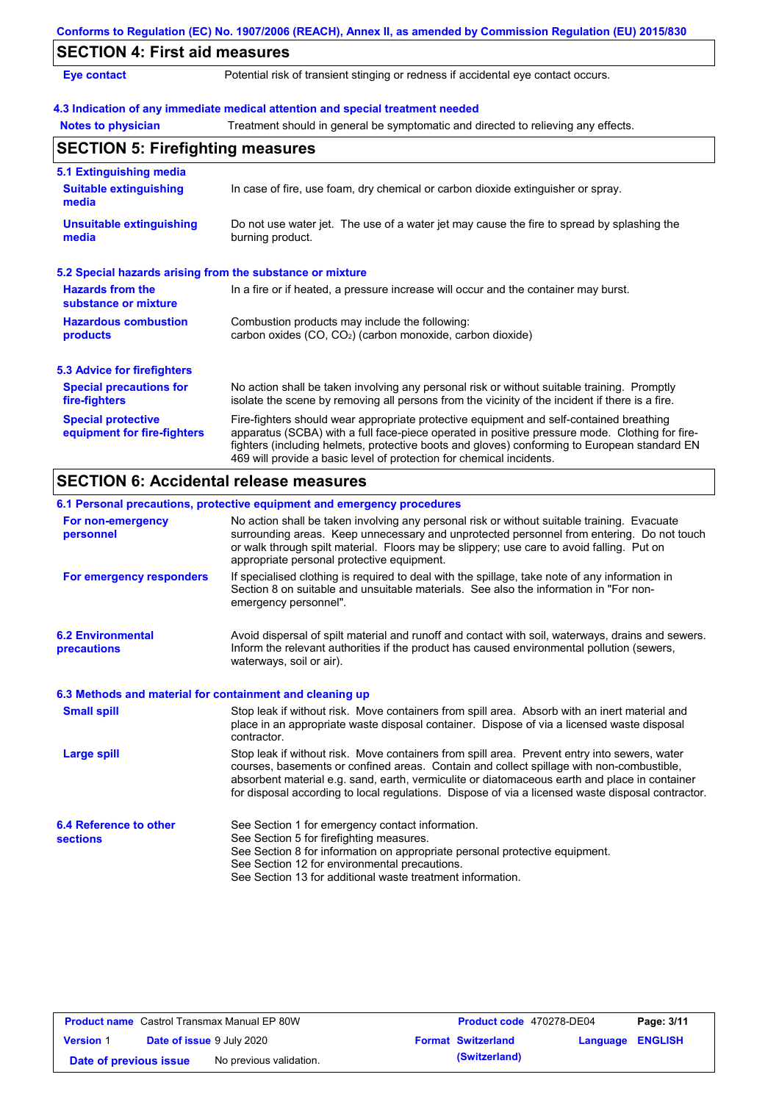|                                                           | Conforms to Regulation (EC) No. 1907/2006 (REACH), Annex II, as amended by Commission Regulation (EU) 2015/830                                                                                                                                                                                                                                                    |
|-----------------------------------------------------------|-------------------------------------------------------------------------------------------------------------------------------------------------------------------------------------------------------------------------------------------------------------------------------------------------------------------------------------------------------------------|
| <b>SECTION 4: First aid measures</b>                      |                                                                                                                                                                                                                                                                                                                                                                   |
| <b>Eye contact</b>                                        | Potential risk of transient stinging or redness if accidental eye contact occurs.                                                                                                                                                                                                                                                                                 |
|                                                           | 4.3 Indication of any immediate medical attention and special treatment needed                                                                                                                                                                                                                                                                                    |
| <b>Notes to physician</b>                                 | Treatment should in general be symptomatic and directed to relieving any effects.                                                                                                                                                                                                                                                                                 |
| <b>SECTION 5: Firefighting measures</b>                   |                                                                                                                                                                                                                                                                                                                                                                   |
| 5.1 Extinguishing media                                   |                                                                                                                                                                                                                                                                                                                                                                   |
| <b>Suitable extinguishing</b><br>media                    | In case of fire, use foam, dry chemical or carbon dioxide extinguisher or spray.                                                                                                                                                                                                                                                                                  |
| <b>Unsuitable extinguishing</b><br>media                  | Do not use water jet. The use of a water jet may cause the fire to spread by splashing the<br>burning product.                                                                                                                                                                                                                                                    |
| 5.2 Special hazards arising from the substance or mixture |                                                                                                                                                                                                                                                                                                                                                                   |
| <b>Hazards from the</b><br>substance or mixture           | In a fire or if heated, a pressure increase will occur and the container may burst.                                                                                                                                                                                                                                                                               |
| <b>Hazardous combustion</b><br>products                   | Combustion products may include the following:<br>carbon oxides (CO, CO <sub>2</sub> ) (carbon monoxide, carbon dioxide)                                                                                                                                                                                                                                          |
| <b>5.3 Advice for firefighters</b>                        |                                                                                                                                                                                                                                                                                                                                                                   |
| <b>Special precautions for</b><br>fire-fighters           | No action shall be taken involving any personal risk or without suitable training. Promptly<br>isolate the scene by removing all persons from the vicinity of the incident if there is a fire.                                                                                                                                                                    |
| <b>Special protective</b><br>equipment for fire-fighters  | Fire-fighters should wear appropriate protective equipment and self-contained breathing<br>apparatus (SCBA) with a full face-piece operated in positive pressure mode. Clothing for fire-<br>fighters (including helmets, protective boots and gloves) conforming to European standard EN<br>469 will provide a basic level of protection for chemical incidents. |

## **SECTION 6: Accidental release measures**

|                                                          | 6.1 Personal precautions, protective equipment and emergency procedures                                                                                                                                                                                                                                                                                                                        |
|----------------------------------------------------------|------------------------------------------------------------------------------------------------------------------------------------------------------------------------------------------------------------------------------------------------------------------------------------------------------------------------------------------------------------------------------------------------|
| For non-emergency<br>personnel                           | No action shall be taken involving any personal risk or without suitable training. Evacuate<br>surrounding areas. Keep unnecessary and unprotected personnel from entering. Do not touch<br>or walk through spilt material. Floors may be slippery; use care to avoid falling. Put on<br>appropriate personal protective equipment.                                                            |
| For emergency responders                                 | If specialised clothing is required to deal with the spillage, take note of any information in<br>Section 8 on suitable and unsuitable materials. See also the information in "For non-<br>emergency personnel".                                                                                                                                                                               |
| <b>6.2 Environmental</b><br>precautions                  | Avoid dispersal of spilt material and runoff and contact with soil, waterways, drains and sewers.<br>Inform the relevant authorities if the product has caused environmental pollution (sewers,<br>waterways, soil or air).                                                                                                                                                                    |
| 6.3 Methods and material for containment and cleaning up |                                                                                                                                                                                                                                                                                                                                                                                                |
| <b>Small spill</b>                                       | Stop leak if without risk. Move containers from spill area. Absorb with an inert material and<br>place in an appropriate waste disposal container. Dispose of via a licensed waste disposal<br>contractor.                                                                                                                                                                                     |
| <b>Large spill</b>                                       | Stop leak if without risk. Move containers from spill area. Prevent entry into sewers, water<br>courses, basements or confined areas. Contain and collect spillage with non-combustible,<br>absorbent material e.g. sand, earth, vermiculite or diatomaceous earth and place in container<br>for disposal according to local regulations. Dispose of via a licensed waste disposal contractor. |
| 6.4 Reference to other<br><b>sections</b>                | See Section 1 for emergency contact information.<br>See Section 5 for firefighting measures.<br>See Section 8 for information on appropriate personal protective equipment.<br>See Section 12 for environmental precautions.<br>See Section 13 for additional waste treatment information.                                                                                                     |

| <b>Product name</b> Castrol Transmax Manual EP 80W |                                  | <b>Product code</b> 470278-DE04 |  | Page: 3/11                |                         |  |
|----------------------------------------------------|----------------------------------|---------------------------------|--|---------------------------|-------------------------|--|
| <b>Version 1</b>                                   | <b>Date of issue 9 July 2020</b> |                                 |  | <b>Format Switzerland</b> | <b>Language ENGLISH</b> |  |
| Date of previous issue                             |                                  | No previous validation.         |  | (Switzerland)             |                         |  |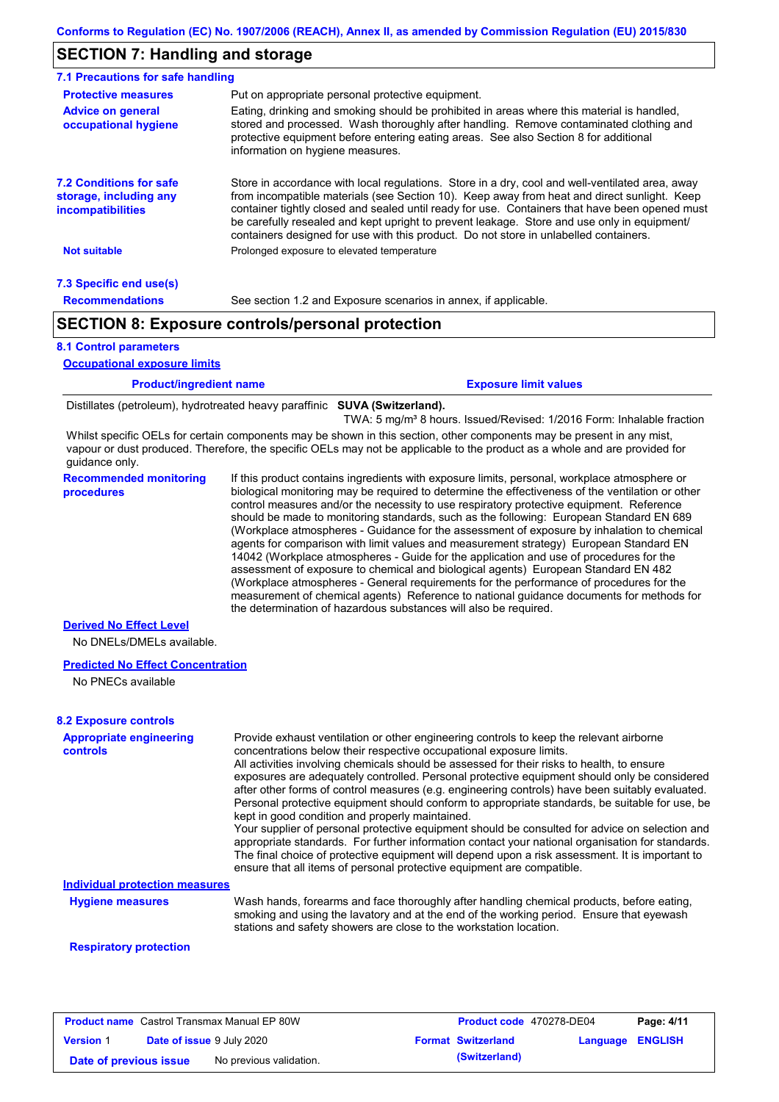## **SECTION 7: Handling and storage**

| 7.1 Precautions for safe handling                                                    |                                                                                                                                                                                                                                                                                                                                                                                                                                                                                          |
|--------------------------------------------------------------------------------------|------------------------------------------------------------------------------------------------------------------------------------------------------------------------------------------------------------------------------------------------------------------------------------------------------------------------------------------------------------------------------------------------------------------------------------------------------------------------------------------|
| <b>Protective measures</b>                                                           | Put on appropriate personal protective equipment.                                                                                                                                                                                                                                                                                                                                                                                                                                        |
| <b>Advice on general</b><br>occupational hygiene                                     | Eating, drinking and smoking should be prohibited in areas where this material is handled.<br>stored and processed. Wash thoroughly after handling. Remove contaminated clothing and<br>protective equipment before entering eating areas. See also Section 8 for additional<br>information on hygiene measures.                                                                                                                                                                         |
| <b>7.2 Conditions for safe</b><br>storage, including any<br><i>incompatibilities</i> | Store in accordance with local regulations. Store in a dry, cool and well-ventilated area, away<br>from incompatible materials (see Section 10). Keep away from heat and direct sunlight. Keep<br>container tightly closed and sealed until ready for use. Containers that have been opened must<br>be carefully resealed and kept upright to prevent leakage. Store and use only in equipment/<br>containers designed for use with this product. Do not store in unlabelled containers. |
| <b>Not suitable</b>                                                                  | Prolonged exposure to elevated temperature                                                                                                                                                                                                                                                                                                                                                                                                                                               |
| 7.3 Specific end use(s)                                                              |                                                                                                                                                                                                                                                                                                                                                                                                                                                                                          |
| <b>Recommendations</b>                                                               | See section 1.2 and Exposure scenarios in annex, if applicable.                                                                                                                                                                                                                                                                                                                                                                                                                          |
|                                                                                      | <b>SECTION 8: Exposure controls/personal protection</b>                                                                                                                                                                                                                                                                                                                                                                                                                                  |

#### **8.1 Control parameters**

**Occupational exposure limits**

**Exposure limit values** 

Distillates (petroleum), hydrotreated heavy paraffinic **SUVA (Switzerland).**

TWA: 5 mg/m<sup>3</sup> 8 hours. Issued/Revised: 1/2016 Form: Inhalable fraction

Whilst specific OELs for certain components may be shown in this section, other components may be present in any mist, vapour or dust produced. Therefore, the specific OELs may not be applicable to the product as a whole and are provided for guidance only.

**Recommended monitoring procedures** If this product contains ingredients with exposure limits, personal, workplace atmosphere or biological monitoring may be required to determine the effectiveness of the ventilation or other control measures and/or the necessity to use respiratory protective equipment. Reference should be made to monitoring standards, such as the following: European Standard EN 689 (Workplace atmospheres - Guidance for the assessment of exposure by inhalation to chemical agents for comparison with limit values and measurement strategy) European Standard EN 14042 (Workplace atmospheres - Guide for the application and use of procedures for the assessment of exposure to chemical and biological agents) European Standard EN 482 (Workplace atmospheres - General requirements for the performance of procedures for the measurement of chemical agents) Reference to national guidance documents for methods for the determination of hazardous substances will also be required.

#### **Derived No Effect Level**

No DNELs/DMELs available.

#### **Predicted No Effect Concentration**

No PNECs available

#### **Appropriate engineering controls** Provide exhaust ventilation or other engineering controls to keep the relevant airborne concentrations below their respective occupational exposure limits. All activities involving chemicals should be assessed for their risks to health, to ensure exposures are adequately controlled. Personal protective equipment should only be considered after other forms of control measures (e.g. engineering controls) have been suitably evaluated. Personal protective equipment should conform to appropriate standards, be suitable for use, be kept in good condition and properly maintained. Your supplier of personal protective equipment should be consulted for advice on selection and appropriate standards. For further information contact your national organisation for standards. The final choice of protective equipment will depend upon a risk assessment. It is important to ensure that all items of personal protective equipment are compatible. Wash hands, forearms and face thoroughly after handling chemical products, before eating, smoking and using the lavatory and at the end of the working period. Ensure that eyewash stations and safety showers are close to the workstation location. **8.2 Exposure controls Hygiene measures Individual protection measures**

#### **Respiratory protection**

| <b>Product name</b> Castrol Transmax Manual EP 80W |                                  |                         | <b>Product code</b> 470278-DE04 |                           | Page: 4/11              |  |
|----------------------------------------------------|----------------------------------|-------------------------|---------------------------------|---------------------------|-------------------------|--|
| <b>Version 1</b>                                   | <b>Date of issue 9 July 2020</b> |                         |                                 | <b>Format Switzerland</b> | <b>Language ENGLISH</b> |  |
| Date of previous issue                             |                                  | No previous validation. |                                 | (Switzerland)             |                         |  |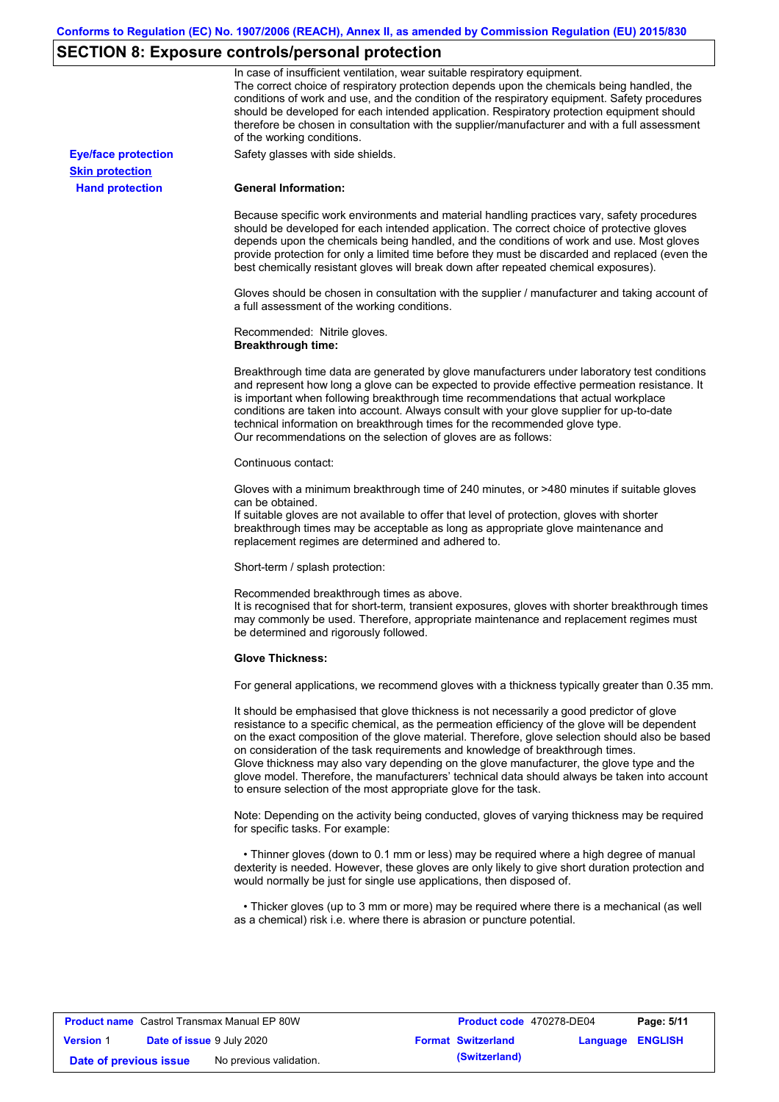# **SECTION 8: Exposure controls/personal protection**

|                            | In case of insufficient ventilation, wear suitable respiratory equipment.<br>The correct choice of respiratory protection depends upon the chemicals being handled, the<br>conditions of work and use, and the condition of the respiratory equipment. Safety procedures<br>should be developed for each intended application. Respiratory protection equipment should<br>therefore be chosen in consultation with the supplier/manufacturer and with a full assessment<br>of the working conditions.                                                                                                                                             |
|----------------------------|---------------------------------------------------------------------------------------------------------------------------------------------------------------------------------------------------------------------------------------------------------------------------------------------------------------------------------------------------------------------------------------------------------------------------------------------------------------------------------------------------------------------------------------------------------------------------------------------------------------------------------------------------|
| <b>Eye/face protection</b> | Safety glasses with side shields.                                                                                                                                                                                                                                                                                                                                                                                                                                                                                                                                                                                                                 |
| <b>Skin protection</b>     |                                                                                                                                                                                                                                                                                                                                                                                                                                                                                                                                                                                                                                                   |
| <b>Hand protection</b>     | <b>General Information:</b>                                                                                                                                                                                                                                                                                                                                                                                                                                                                                                                                                                                                                       |
|                            | Because specific work environments and material handling practices vary, safety procedures<br>should be developed for each intended application. The correct choice of protective gloves<br>depends upon the chemicals being handled, and the conditions of work and use. Most gloves<br>provide protection for only a limited time before they must be discarded and replaced (even the<br>best chemically resistant gloves will break down after repeated chemical exposures).                                                                                                                                                                  |
|                            | Gloves should be chosen in consultation with the supplier / manufacturer and taking account of<br>a full assessment of the working conditions.                                                                                                                                                                                                                                                                                                                                                                                                                                                                                                    |
|                            | Recommended: Nitrile gloves.<br><b>Breakthrough time:</b>                                                                                                                                                                                                                                                                                                                                                                                                                                                                                                                                                                                         |
|                            | Breakthrough time data are generated by glove manufacturers under laboratory test conditions<br>and represent how long a glove can be expected to provide effective permeation resistance. It<br>is important when following breakthrough time recommendations that actual workplace<br>conditions are taken into account. Always consult with your glove supplier for up-to-date<br>technical information on breakthrough times for the recommended glove type.<br>Our recommendations on the selection of gloves are as follows:                                                                                                                |
|                            | Continuous contact:                                                                                                                                                                                                                                                                                                                                                                                                                                                                                                                                                                                                                               |
|                            | Gloves with a minimum breakthrough time of 240 minutes, or >480 minutes if suitable gloves<br>can be obtained.<br>If suitable gloves are not available to offer that level of protection, gloves with shorter<br>breakthrough times may be acceptable as long as appropriate glove maintenance and<br>replacement regimes are determined and adhered to.                                                                                                                                                                                                                                                                                          |
|                            | Short-term / splash protection:                                                                                                                                                                                                                                                                                                                                                                                                                                                                                                                                                                                                                   |
|                            | Recommended breakthrough times as above.<br>It is recognised that for short-term, transient exposures, gloves with shorter breakthrough times<br>may commonly be used. Therefore, appropriate maintenance and replacement regimes must<br>be determined and rigorously followed.                                                                                                                                                                                                                                                                                                                                                                  |
|                            | <b>Glove Thickness:</b>                                                                                                                                                                                                                                                                                                                                                                                                                                                                                                                                                                                                                           |
|                            | For general applications, we recommend gloves with a thickness typically greater than 0.35 mm.                                                                                                                                                                                                                                                                                                                                                                                                                                                                                                                                                    |
|                            | It should be emphasised that glove thickness is not necessarily a good predictor of glove<br>resistance to a specific chemical, as the permeation efficiency of the glove will be dependent<br>on the exact composition of the glove material. Therefore, glove selection should also be based<br>on consideration of the task requirements and knowledge of breakthrough times.<br>Glove thickness may also vary depending on the glove manufacturer, the glove type and the<br>glove model. Therefore, the manufacturers' technical data should always be taken into account<br>to ensure selection of the most appropriate glove for the task. |
|                            | Note: Depending on the activity being conducted, gloves of varying thickness may be required<br>for specific tasks. For example:                                                                                                                                                                                                                                                                                                                                                                                                                                                                                                                  |
|                            | • Thinner gloves (down to 0.1 mm or less) may be required where a high degree of manual<br>dexterity is needed. However, these gloves are only likely to give short duration protection and<br>would normally be just for single use applications, then disposed of.                                                                                                                                                                                                                                                                                                                                                                              |
|                            | • Thicker gloves (up to 3 mm or more) may be required where there is a mechanical (as well<br>as a chemical) risk i.e. where there is abrasion or puncture potential.                                                                                                                                                                                                                                                                                                                                                                                                                                                                             |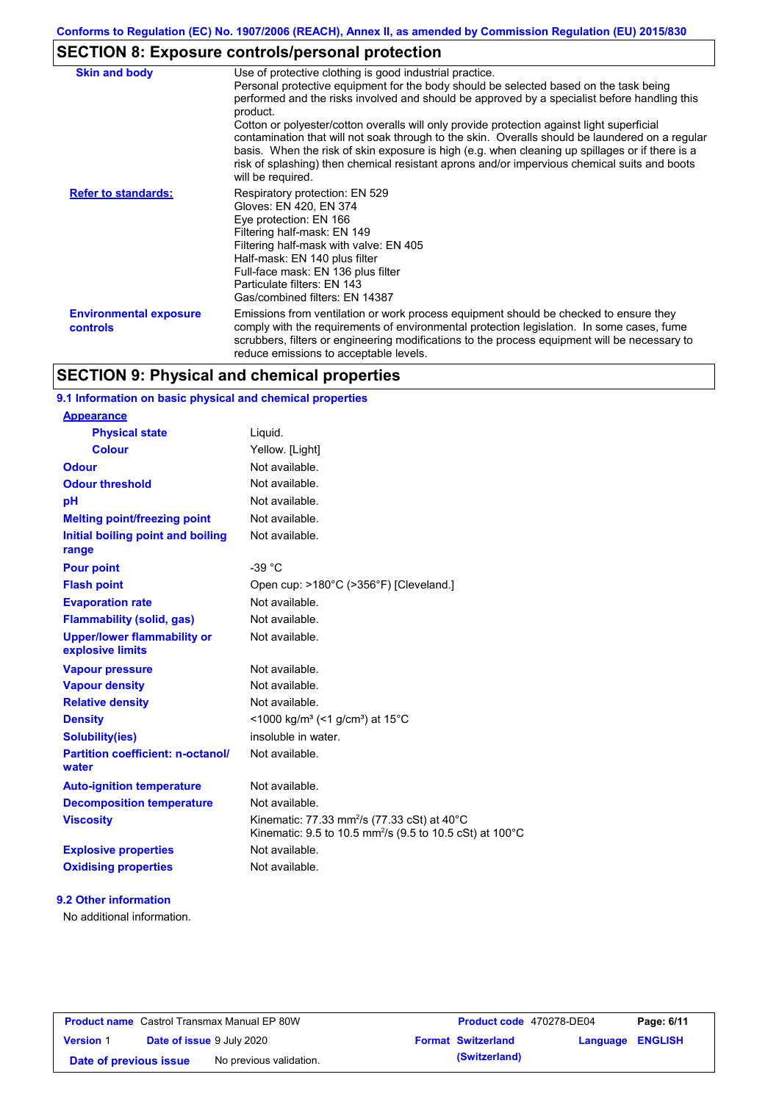# **SECTION 8: Exposure controls/personal protection**

| <b>Skin and body</b>                      | Use of protective clothing is good industrial practice.<br>Personal protective equipment for the body should be selected based on the task being<br>performed and the risks involved and should be approved by a specialist before handling this<br>product.<br>Cotton or polyester/cotton overalls will only provide protection against light superficial<br>contamination that will not soak through to the skin. Overalls should be laundered on a regular<br>basis. When the risk of skin exposure is high (e.g. when cleaning up spillages or if there is a<br>risk of splashing) then chemical resistant aprons and/or impervious chemical suits and boots<br>will be required. |
|-------------------------------------------|---------------------------------------------------------------------------------------------------------------------------------------------------------------------------------------------------------------------------------------------------------------------------------------------------------------------------------------------------------------------------------------------------------------------------------------------------------------------------------------------------------------------------------------------------------------------------------------------------------------------------------------------------------------------------------------|
| <b>Refer to standards:</b>                | Respiratory protection: EN 529<br>Gloves: EN 420, EN 374<br>Eye protection: EN 166<br>Filtering half-mask: EN 149<br>Filtering half-mask with valve: EN 405<br>Half-mask: EN 140 plus filter<br>Full-face mask: EN 136 plus filter<br>Particulate filters: EN 143<br>Gas/combined filters: EN 14387                                                                                                                                                                                                                                                                                                                                                                                   |
| <b>Environmental exposure</b><br>controls | Emissions from ventilation or work process equipment should be checked to ensure they<br>comply with the requirements of environmental protection legislation. In some cases, fume<br>scrubbers, filters or engineering modifications to the process equipment will be necessary to<br>reduce emissions to acceptable levels.                                                                                                                                                                                                                                                                                                                                                         |

# **SECTION 9: Physical and chemical properties**

### **9.1 Information on basic physical and chemical properties**

| <b>Appearance</b>                                      |                                                                                                                                            |
|--------------------------------------------------------|--------------------------------------------------------------------------------------------------------------------------------------------|
| <b>Physical state</b>                                  | Liquid.                                                                                                                                    |
| <b>Colour</b>                                          | Yellow. [Light]                                                                                                                            |
| <b>Odour</b>                                           | Not available.                                                                                                                             |
| <b>Odour threshold</b>                                 | Not available.                                                                                                                             |
| рH                                                     | Not available.                                                                                                                             |
| <b>Melting point/freezing point</b>                    | Not available.                                                                                                                             |
| Initial boiling point and boiling<br>range             | Not available.                                                                                                                             |
| <b>Pour point</b>                                      | $-39 °C$                                                                                                                                   |
| <b>Flash point</b>                                     | Open cup: >180°C (>356°F) [Cleveland.]                                                                                                     |
| <b>Evaporation rate</b>                                | Not available.                                                                                                                             |
| <b>Flammability (solid, gas)</b>                       | Not available.                                                                                                                             |
| <b>Upper/lower flammability or</b><br>explosive limits | Not available.                                                                                                                             |
| <b>Vapour pressure</b>                                 | Not available.                                                                                                                             |
| <b>Vapour density</b>                                  | Not available.                                                                                                                             |
| <b>Relative density</b>                                | Not available.                                                                                                                             |
| <b>Density</b>                                         | $<$ 1000 kg/m <sup>3</sup> (<1 g/cm <sup>3</sup> ) at 15 <sup>°</sup> C                                                                    |
| <b>Solubility(ies)</b>                                 | insoluble in water.                                                                                                                        |
| <b>Partition coefficient: n-octanol/</b><br>water      | Not available.                                                                                                                             |
| <b>Auto-ignition temperature</b>                       | Not available.                                                                                                                             |
| <b>Decomposition temperature</b>                       | Not available.                                                                                                                             |
| <b>Viscosity</b>                                       | Kinematic: 77.33 mm <sup>2</sup> /s (77.33 cSt) at 40 $\degree$ C<br>Kinematic: 9.5 to 10.5 mm <sup>2</sup> /s (9.5 to 10.5 cSt) at 100 °C |
| <b>Explosive properties</b>                            | Not available.                                                                                                                             |
| <b>Oxidising properties</b>                            | Not available.                                                                                                                             |
|                                                        |                                                                                                                                            |

#### **9.2 Other information**

No additional information.

| <b>Product name</b> Castrol Transmax Manual EP 80W |                                  |                         | <b>Product code</b> 470278-DE04 |                           | Page: 6/11              |  |
|----------------------------------------------------|----------------------------------|-------------------------|---------------------------------|---------------------------|-------------------------|--|
| <b>Version 1</b>                                   | <b>Date of issue 9 July 2020</b> |                         |                                 | <b>Format Switzerland</b> | <b>Language ENGLISH</b> |  |
| Date of previous issue                             |                                  | No previous validation. |                                 | (Switzerland)             |                         |  |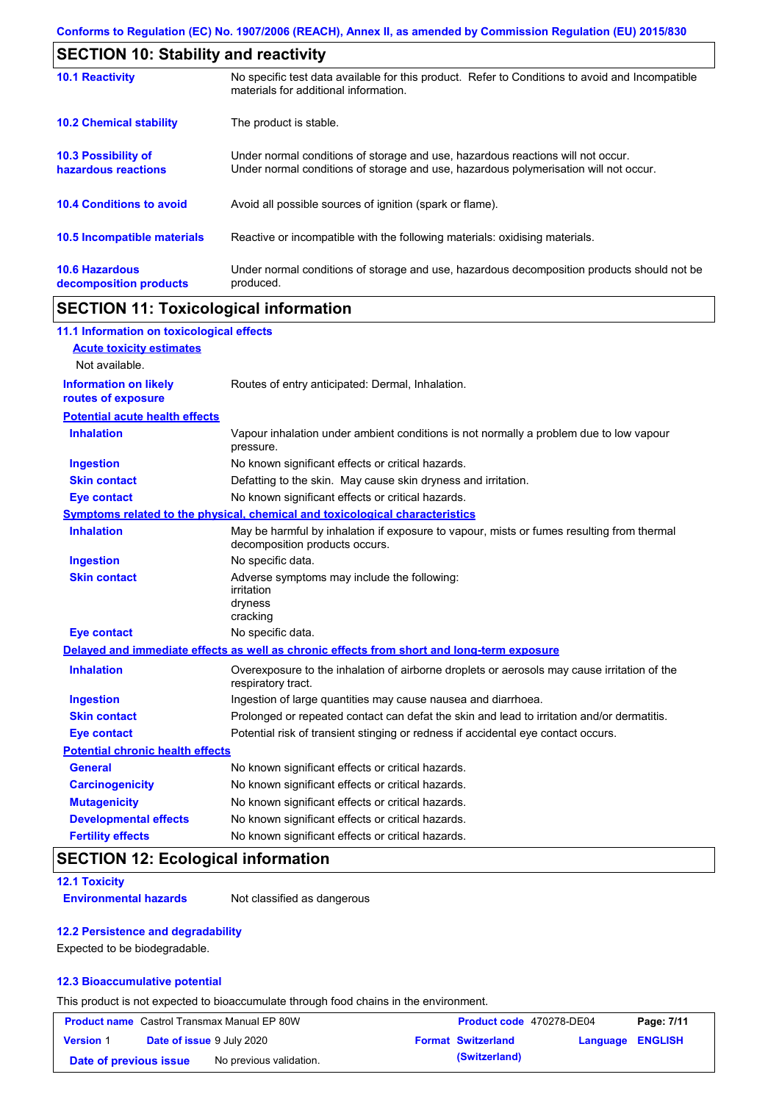| <b>SECTION 10: Stability and reactivity</b>       |                                                                                                                                                                         |  |  |  |
|---------------------------------------------------|-------------------------------------------------------------------------------------------------------------------------------------------------------------------------|--|--|--|
| <b>10.1 Reactivity</b>                            | No specific test data available for this product. Refer to Conditions to avoid and Incompatible<br>materials for additional information.                                |  |  |  |
| <b>10.2 Chemical stability</b>                    | The product is stable.                                                                                                                                                  |  |  |  |
| <b>10.3 Possibility of</b><br>hazardous reactions | Under normal conditions of storage and use, hazardous reactions will not occur.<br>Under normal conditions of storage and use, hazardous polymerisation will not occur. |  |  |  |
| <b>10.4 Conditions to avoid</b>                   | Avoid all possible sources of ignition (spark or flame).                                                                                                                |  |  |  |
| <b>10.5 Incompatible materials</b>                | Reactive or incompatible with the following materials: oxidising materials.                                                                                             |  |  |  |
| <b>10.6 Hazardous</b><br>decomposition products   | Under normal conditions of storage and use, hazardous decomposition products should not be<br>produced.                                                                 |  |  |  |

# **SECTION 11: Toxicological information**

| 11.1 Information on toxicological effects          |                                                                                                                             |
|----------------------------------------------------|-----------------------------------------------------------------------------------------------------------------------------|
| <b>Acute toxicity estimates</b>                    |                                                                                                                             |
| Not available.                                     |                                                                                                                             |
| <b>Information on likely</b><br>routes of exposure | Routes of entry anticipated: Dermal, Inhalation.                                                                            |
| <b>Potential acute health effects</b>              |                                                                                                                             |
| <b>Inhalation</b>                                  | Vapour inhalation under ambient conditions is not normally a problem due to low vapour<br>pressure.                         |
| <b>Ingestion</b>                                   | No known significant effects or critical hazards.                                                                           |
| <b>Skin contact</b>                                | Defatting to the skin. May cause skin dryness and irritation.                                                               |
| <b>Eye contact</b>                                 | No known significant effects or critical hazards.                                                                           |
|                                                    | Symptoms related to the physical, chemical and toxicological characteristics                                                |
| <b>Inhalation</b>                                  | May be harmful by inhalation if exposure to vapour, mists or fumes resulting from thermal<br>decomposition products occurs. |
| <b>Ingestion</b>                                   | No specific data.                                                                                                           |
| <b>Skin contact</b>                                | Adverse symptoms may include the following:<br>irritation<br>dryness<br>cracking                                            |
| <b>Eye contact</b>                                 | No specific data.                                                                                                           |
|                                                    | Delayed and immediate effects as well as chronic effects from short and long-term exposure                                  |
| <b>Inhalation</b>                                  | Overexposure to the inhalation of airborne droplets or aerosols may cause irritation of the<br>respiratory tract.           |
| <b>Ingestion</b>                                   | Ingestion of large quantities may cause nausea and diarrhoea.                                                               |
| <b>Skin contact</b>                                | Prolonged or repeated contact can defat the skin and lead to irritation and/or dermatitis.                                  |
| <b>Eye contact</b>                                 | Potential risk of transient stinging or redness if accidental eye contact occurs.                                           |
| <b>Potential chronic health effects</b>            |                                                                                                                             |
| <b>General</b>                                     | No known significant effects or critical hazards.                                                                           |
| <b>Carcinogenicity</b>                             | No known significant effects or critical hazards.                                                                           |
| <b>Mutagenicity</b>                                | No known significant effects or critical hazards.                                                                           |
| <b>Developmental effects</b>                       | No known significant effects or critical hazards.                                                                           |
| <b>Fertility effects</b>                           | No known significant effects or critical hazards.                                                                           |

# **SECTION 12: Ecological information**

#### **12.1 Toxicity**

**Environmental hazards** Not classified as dangerous

#### **12.2 Persistence and degradability**

Expected to be biodegradable.

#### **12.3 Bioaccumulative potential**

This product is not expected to bioaccumulate through food chains in the environment.

| <b>Product name</b> Castrol Transmax Manual EP 80W |                                  | Product code 470278-DE04 |                           | Page: 7/11       |  |
|----------------------------------------------------|----------------------------------|--------------------------|---------------------------|------------------|--|
| <b>Version 1</b>                                   | <b>Date of issue 9 July 2020</b> |                          | <b>Format Switzerland</b> | Language ENGLISH |  |
| Date of previous issue                             |                                  | No previous validation.  | (Switzerland)             |                  |  |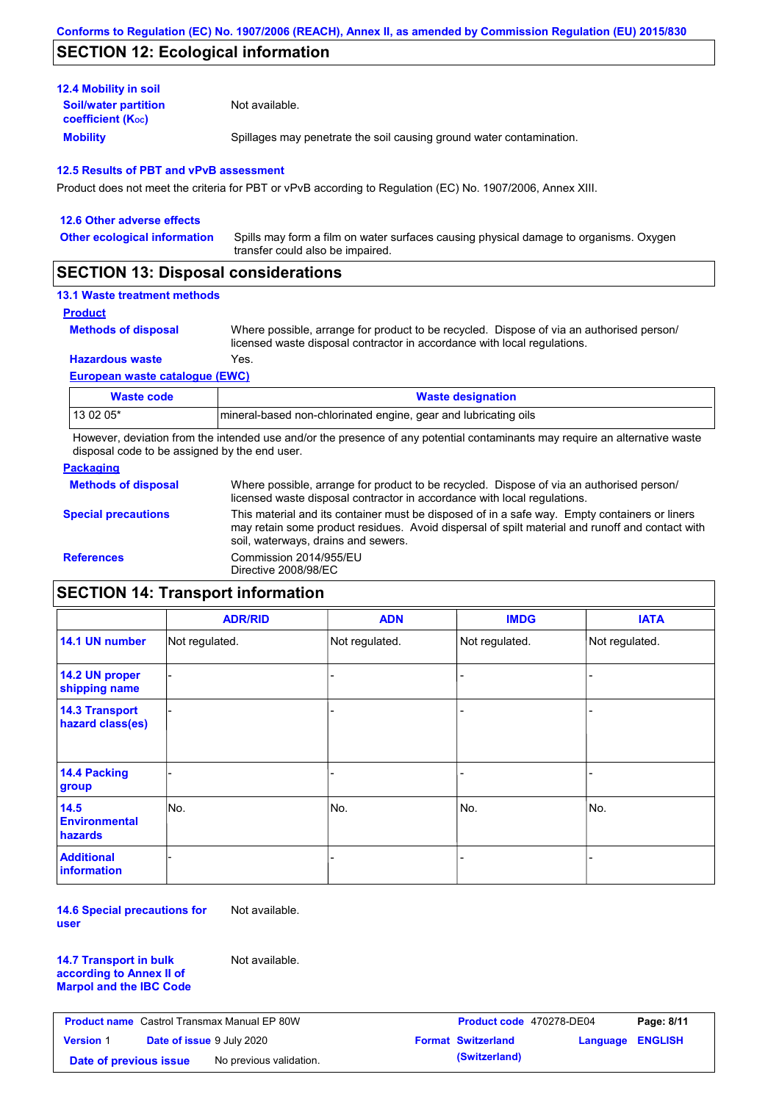## **SECTION 12: Ecological information**

| <b>12.4 Mobility in soil</b>                            |                                                                      |
|---------------------------------------------------------|----------------------------------------------------------------------|
| <b>Soil/water partition</b><br><b>coefficient (Koc)</b> | Not available.                                                       |
| <b>Mobility</b>                                         | Spillages may penetrate the soil causing ground water contamination. |

#### **12.5 Results of PBT and vPvB assessment**

Product does not meet the criteria for PBT or vPvB according to Regulation (EC) No. 1907/2006, Annex XIII.

| 12.6 Other adverse effects          |                                                                                                                           |
|-------------------------------------|---------------------------------------------------------------------------------------------------------------------------|
| <b>Other ecological information</b> | Spills may form a film on water surfaces causing physical damage to organisms. Oxygen<br>transfer could also be impaired. |
|                                     |                                                                                                                           |

## **SECTION 13: Disposal considerations**

### **13.1 Waste treatment methods**

### **Product**

**Methods of disposal**

Where possible, arrange for product to be recycled. Dispose of via an authorised person/ licensed waste disposal contractor in accordance with local regulations.

#### **Hazardous waste** Yes.

**European waste catalogue (EWC)**

| Waste code | <b>Waste designation</b>                                        |
|------------|-----------------------------------------------------------------|
| 13 02 05*  | mineral-based non-chlorinated engine, gear and lubricating oils |

However, deviation from the intended use and/or the presence of any potential contaminants may require an alternative waste disposal code to be assigned by the end user.

#### **Packaging**

|                            | licensed waste disposal contractor in accordance with local regulations.                                                                                                                                                                |
|----------------------------|-----------------------------------------------------------------------------------------------------------------------------------------------------------------------------------------------------------------------------------------|
| <b>Special precautions</b> | This material and its container must be disposed of in a safe way. Empty containers or liners<br>may retain some product residues. Avoid dispersal of spilt material and runoff and contact with<br>soil, waterways, drains and sewers. |
| <b>References</b>          | Commission 2014/955/EU<br>Directive 2008/98/EC                                                                                                                                                                                          |

# **SECTION 14: Transport information**

|                                                | <b>ADR/RID</b> | <b>ADN</b>     | <b>IMDG</b>    | <b>IATA</b>    |
|------------------------------------------------|----------------|----------------|----------------|----------------|
| 14.1 UN number                                 | Not regulated. | Not regulated. | Not regulated. | Not regulated. |
| 14.2 UN proper<br>shipping name                |                |                | -              |                |
| <b>14.3 Transport</b><br>hazard class(es)      |                |                |                |                |
| 14.4 Packing<br>group                          |                |                |                |                |
| 14.5<br><b>Environmental</b><br><b>hazards</b> | No.            | No.            | No.            | No.            |
| <b>Additional</b><br>information               |                |                |                |                |

**14.6 Special precautions for user** Not available.

**14.7 Transport in bulk according to Annex II of Marpol and the IBC Code** Not available.

| <b>Product name</b> Castrol Transmax Manual EP 80W |                                  | <b>Product code</b> 470278-DE04 |  | Page: 8/11                |                  |  |
|----------------------------------------------------|----------------------------------|---------------------------------|--|---------------------------|------------------|--|
| <b>Version 1</b>                                   | <b>Date of issue 9 July 2020</b> |                                 |  | <b>Format Switzerland</b> | Language ENGLISH |  |
| Date of previous issue                             |                                  | No previous validation.         |  | (Switzerland)             |                  |  |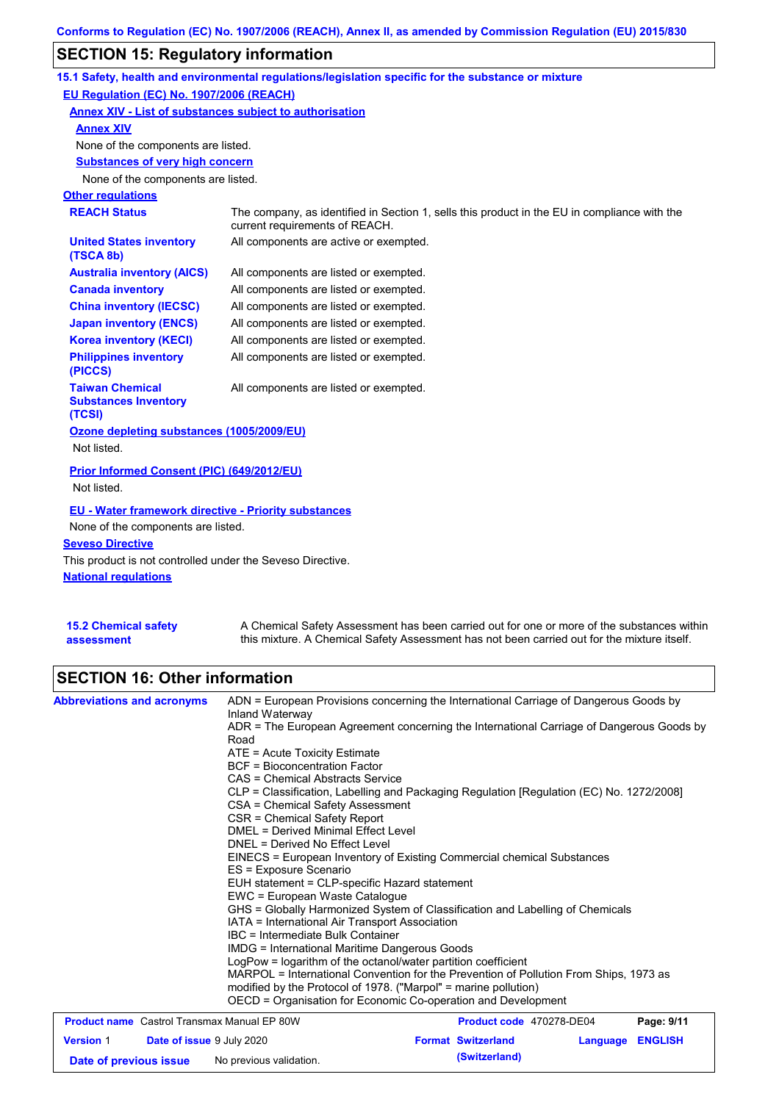# **SECTION 15: Regulatory information**

|                                                                 | 15.1 Safety, health and environmental regulations/legislation specific for the substance or mixture                            |
|-----------------------------------------------------------------|--------------------------------------------------------------------------------------------------------------------------------|
| EU Regulation (EC) No. 1907/2006 (REACH)                        |                                                                                                                                |
| Annex XIV - List of substances subject to authorisation         |                                                                                                                                |
| <b>Annex XIV</b>                                                |                                                                                                                                |
| None of the components are listed.                              |                                                                                                                                |
| <b>Substances of very high concern</b>                          |                                                                                                                                |
| None of the components are listed.                              |                                                                                                                                |
| <b>Other regulations</b>                                        |                                                                                                                                |
| <b>REACH Status</b>                                             | The company, as identified in Section 1, sells this product in the EU in compliance with the<br>current requirements of REACH. |
| <b>United States inventory</b><br>(TSCA 8b)                     | All components are active or exempted.                                                                                         |
| <b>Australia inventory (AICS)</b>                               | All components are listed or exempted.                                                                                         |
| <b>Canada inventory</b>                                         | All components are listed or exempted.                                                                                         |
| <b>China inventory (IECSC)</b>                                  | All components are listed or exempted.                                                                                         |
| <b>Japan inventory (ENCS)</b>                                   | All components are listed or exempted.                                                                                         |
| <b>Korea inventory (KECI)</b>                                   | All components are listed or exempted.                                                                                         |
| <b>Philippines inventory</b><br>(PICCS)                         | All components are listed or exempted.                                                                                         |
| <b>Taiwan Chemical</b><br><b>Substances Inventory</b><br>(TCSI) | All components are listed or exempted.                                                                                         |
| Ozone depleting substances (1005/2009/EU)<br>Not listed.        |                                                                                                                                |
|                                                                 |                                                                                                                                |
| Prior Informed Consent (PIC) (649/2012/EU)                      |                                                                                                                                |
| Not listed.                                                     |                                                                                                                                |
| EU - Water framework directive - Priority substances            |                                                                                                                                |
| None of the components are listed.                              |                                                                                                                                |
| <b>Seveso Directive</b>                                         |                                                                                                                                |
| This product is not controlled under the Seveso Directive.      |                                                                                                                                |
| <b>National requiations</b>                                     |                                                                                                                                |
|                                                                 |                                                                                                                                |

| <b>15.2 Chemical safety</b> | A Chemical Safety Assessment has been carried out for one or more of the substances within  |
|-----------------------------|---------------------------------------------------------------------------------------------|
| assessment                  | this mixture. A Chemical Safety Assessment has not been carried out for the mixture itself. |

# **SECTION 16: Other information**

| <b>Abbreviations and acronyms</b> |                                                    | ADN = European Provisions concerning the International Carriage of Dangerous Goods by<br>Inland Waterway<br>ADR = The European Agreement concerning the International Carriage of Dangerous Goods by<br>Road<br>ATE = Acute Toxicity Estimate<br><b>BCF</b> = Bioconcentration Factor<br>CAS = Chemical Abstracts Service<br>CLP = Classification, Labelling and Packaging Regulation [Regulation (EC) No. 1272/2008]<br>CSA = Chemical Safety Assessment<br>CSR = Chemical Safety Report<br><b>DMEL = Derived Minimal Effect Level</b><br>DNEL = Derived No Effect Level<br>EINECS = European Inventory of Existing Commercial chemical Substances<br>ES = Exposure Scenario<br>EUH statement = CLP-specific Hazard statement<br>EWC = European Waste Catalogue<br>GHS = Globally Harmonized System of Classification and Labelling of Chemicals<br>IATA = International Air Transport Association<br>IBC = Intermediate Bulk Container<br>IMDG = International Maritime Dangerous Goods<br>LogPow = logarithm of the octanol/water partition coefficient |                           |                          |          |                |  |
|-----------------------------------|----------------------------------------------------|------------------------------------------------------------------------------------------------------------------------------------------------------------------------------------------------------------------------------------------------------------------------------------------------------------------------------------------------------------------------------------------------------------------------------------------------------------------------------------------------------------------------------------------------------------------------------------------------------------------------------------------------------------------------------------------------------------------------------------------------------------------------------------------------------------------------------------------------------------------------------------------------------------------------------------------------------------------------------------------------------------------------------------------------------------|---------------------------|--------------------------|----------|----------------|--|
|                                   |                                                    | MARPOL = International Convention for the Prevention of Pollution From Ships, 1973 as<br>modified by the Protocol of 1978. ("Marpol" = marine pollution)<br>OECD = Organisation for Economic Co-operation and Development                                                                                                                                                                                                                                                                                                                                                                                                                                                                                                                                                                                                                                                                                                                                                                                                                                  |                           |                          |          |                |  |
|                                   | <b>Product name</b> Castrol Transmax Manual EP 80W |                                                                                                                                                                                                                                                                                                                                                                                                                                                                                                                                                                                                                                                                                                                                                                                                                                                                                                                                                                                                                                                            |                           | Product code 470278-DE04 |          | Page: 9/11     |  |
| <b>Version 1</b>                  | <b>Date of issue 9 July 2020</b>                   |                                                                                                                                                                                                                                                                                                                                                                                                                                                                                                                                                                                                                                                                                                                                                                                                                                                                                                                                                                                                                                                            | <b>Format Switzerland</b> |                          | Language | <b>ENGLISH</b> |  |

**Date of previous issue** No previous validation. **(Switzerland)**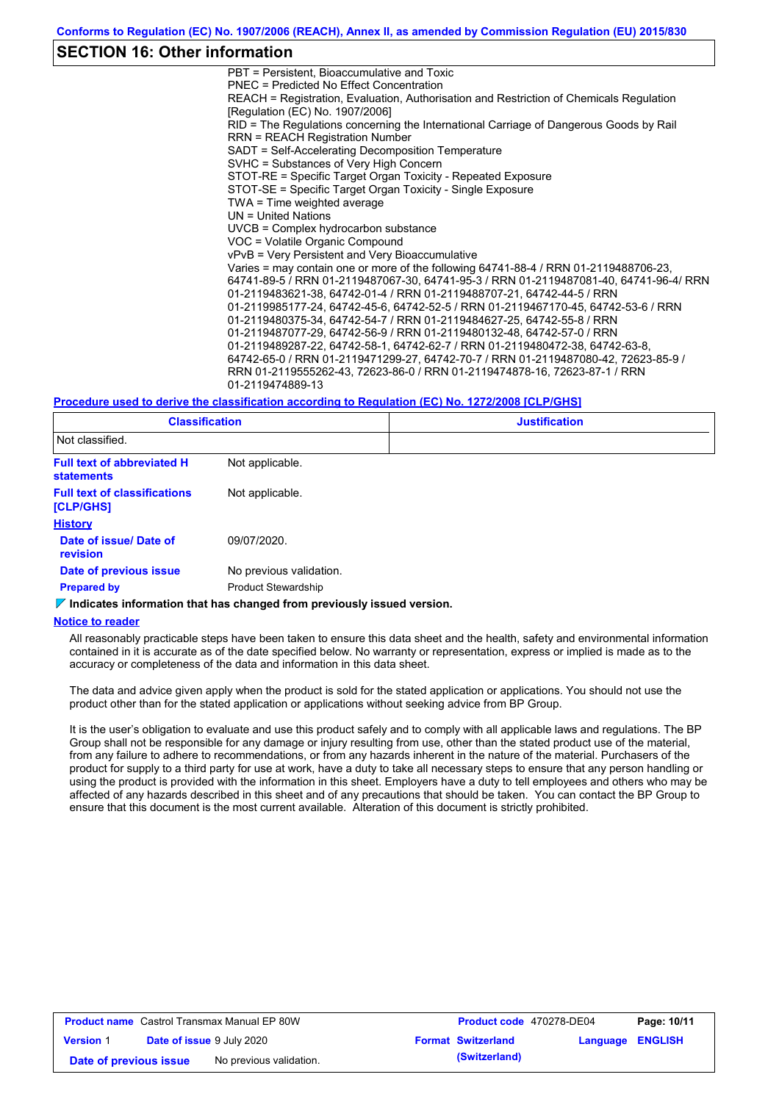## **SECTION 16: Other information**

PBT = Persistent, Bioaccumulative and Toxic PNEC = Predicted No Effect Concentration REACH = Registration, Evaluation, Authorisation and Restriction of Chemicals Regulation [Regulation (EC) No. 1907/2006] RID = The Regulations concerning the International Carriage of Dangerous Goods by Rail RRN = REACH Registration Number SADT = Self-Accelerating Decomposition Temperature SVHC = Substances of Very High Concern STOT-RE = Specific Target Organ Toxicity - Repeated Exposure STOT-SE = Specific Target Organ Toxicity - Single Exposure TWA = Time weighted average UN = United Nations UVCB = Complex hydrocarbon substance VOC = Volatile Organic Compound vPvB = Very Persistent and Very Bioaccumulative Varies = may contain one or more of the following 64741-88-4 / RRN 01-2119488706-23, 64741-89-5 / RRN 01-2119487067-30, 64741-95-3 / RRN 01-2119487081-40, 64741-96-4/ RRN 01-2119483621-38, 64742-01-4 / RRN 01-2119488707-21, 64742-44-5 / RRN 01-2119985177-24, 64742-45-6, 64742-52-5 / RRN 01-2119467170-45, 64742-53-6 / RRN 01-2119480375-34, 64742-54-7 / RRN 01-2119484627-25, 64742-55-8 / RRN 01-2119487077-29, 64742-56-9 / RRN 01-2119480132-48, 64742-57-0 / RRN 01-2119489287-22, 64742-58-1, 64742-62-7 / RRN 01-2119480472-38, 64742-63-8, 64742-65-0 / RRN 01-2119471299-27, 64742-70-7 / RRN 01-2119487080-42, 72623-85-9 / RRN 01-2119555262-43, 72623-86-0 / RRN 01-2119474878-16, 72623-87-1 / RRN 01-2119474889-13

#### **Procedure used to derive the classification according to Regulation (EC) No. 1272/2008 [CLP/GHS]**

| <b>Classification</b>                                  |                            | <b>Justification</b> |
|--------------------------------------------------------|----------------------------|----------------------|
| Not classified.                                        |                            |                      |
| <b>Full text of abbreviated H</b><br><b>statements</b> | Not applicable.            |                      |
| <b>Full text of classifications</b><br>[CLP/GHS]       | Not applicable.            |                      |
| <b>History</b>                                         |                            |                      |
| Date of issue/ Date of<br>revision                     | 09/07/2020.                |                      |
| Date of previous issue                                 | No previous validation.    |                      |
| <b>Prepared by</b>                                     | <b>Product Stewardship</b> |                      |

**Indicates information that has changed from previously issued version.**

#### **Notice to reader**

All reasonably practicable steps have been taken to ensure this data sheet and the health, safety and environmental information contained in it is accurate as of the date specified below. No warranty or representation, express or implied is made as to the accuracy or completeness of the data and information in this data sheet.

The data and advice given apply when the product is sold for the stated application or applications. You should not use the product other than for the stated application or applications without seeking advice from BP Group.

It is the user's obligation to evaluate and use this product safely and to comply with all applicable laws and regulations. The BP Group shall not be responsible for any damage or injury resulting from use, other than the stated product use of the material, from any failure to adhere to recommendations, or from any hazards inherent in the nature of the material. Purchasers of the product for supply to a third party for use at work, have a duty to take all necessary steps to ensure that any person handling or using the product is provided with the information in this sheet. Employers have a duty to tell employees and others who may be affected of any hazards described in this sheet and of any precautions that should be taken. You can contact the BP Group to ensure that this document is the most current available. Alteration of this document is strictly prohibited.

| <b>Product name</b> Castrol Transmax Manual EP 80W |                                  | <b>Product code</b> 470278-DE04 |  | Page: 10/11               |                         |  |
|----------------------------------------------------|----------------------------------|---------------------------------|--|---------------------------|-------------------------|--|
| <b>Version 1</b>                                   | <b>Date of issue 9 July 2020</b> |                                 |  | <b>Format Switzerland</b> | <b>Language ENGLISH</b> |  |
| Date of previous issue                             |                                  | No previous validation.         |  | (Switzerland)             |                         |  |